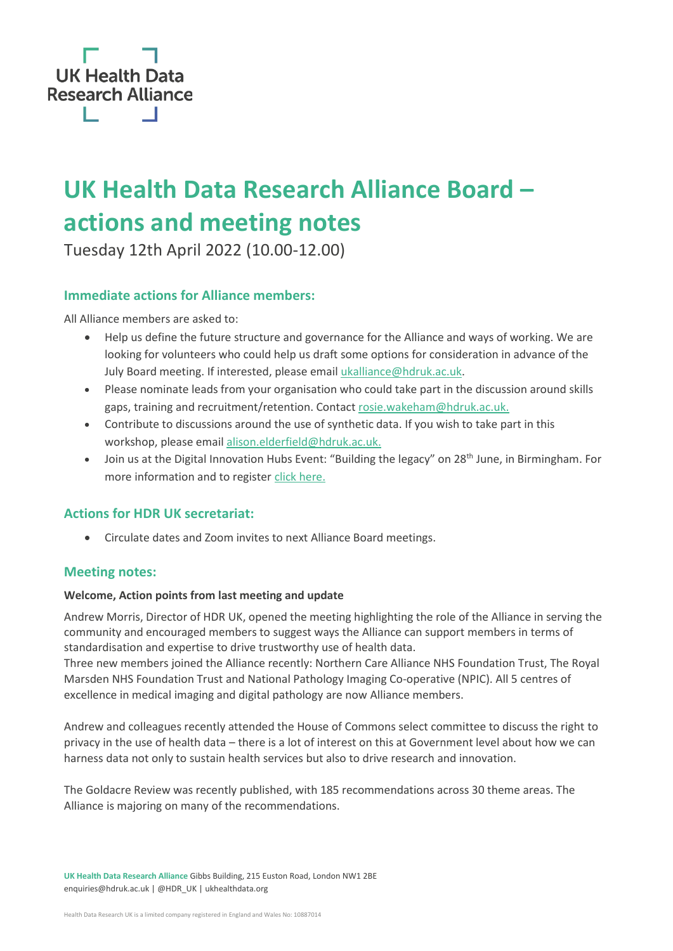

# **UK Health Data Research Alliance Board – actions and meeting notes**

Tuesday 12th April 2022 (10.00-12.00)

## **Immediate actions for Alliance members:**

All Alliance members are asked to:

- Help us define the future structure and governance for the Alliance and ways of working. We are looking for volunteers who could help us draft some options for consideration in advance of the July Board meeting. If interested, please emai[l ukalliance@hdruk.ac.uk.](mailto:ukalliance@hdruk.ac.uk)
- Please nominate leads from your organisation who could take part in the discussion around skills gaps, training and recruitment/retention. Contact [rosie.wakeham@hdruk.ac.uk.](mailto:rosie.wakeham@hdruk.ac.uk)
- Contribute to discussions around the use of synthetic data. If you wish to take part in this workshop, please emai[l alison.elderfield@hdruk.ac.uk.](mailto:alison.elderfield@hdruk.ac.uk)
- Join us at the Digital Innovation Hubs Event: "Building the legacy" on 28<sup>th</sup> June, in Birmingham. For more information and to register [click here.](https://www.hdruk.ac.uk/events/building-a-legacy-for-the-digital-innovation-hub-programme/)

## **Actions for HDR UK secretariat:**

• Circulate dates and Zoom invites to next Alliance Board meetings.

#### **Meeting notes:**

#### **Welcome, Action points from last meeting and update**

Andrew Morris, Director of HDR UK, opened the meeting highlighting the role of the Alliance in serving the community and encouraged members to suggest ways the Alliance can support members in terms of standardisation and expertise to drive trustworthy use of health data.

Three new members joined the Alliance recently: [Northern Care Alliance NHS Foundation Trust,](https://www.northerncarealliance.nhs.uk/) [The Royal](https://www.royalmarsden.nhs.uk/)  [Marsden NHS Foundation Trust](https://www.royalmarsden.nhs.uk/) and [National Pathology Imaging Co-operative](https://npic.ac.uk/) (NPIC). All 5 centres of excellence in medical imaging and digital pathology are now Alliance members.

Andrew and colleagues recently attended the House of Commons select committee to discuss the right to privacy in the use of health data – there is a lot of interest on this at Government level about how we can harness data not only to sustain health services but also to drive research and innovation.

The Goldacre Review was recently published, with 185 recommendations across 30 theme areas. The Alliance is majoring on many of the recommendations.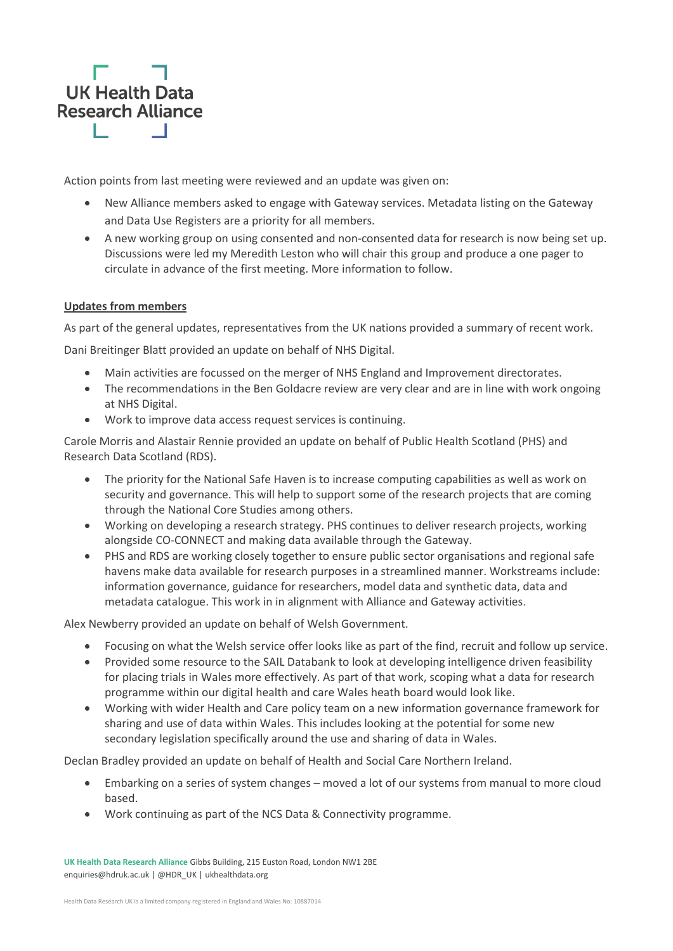

Action points from last meeting were reviewed and an update was given on:

- New Alliance members asked to engage with Gateway services. Metadata listing on the Gateway and Data Use Registers are a priority for all members.
- A new working group on using consented and non-consented data for research is now being set up. Discussions were led my Meredith Leston who will chair this group and produce a one pager to circulate in advance of the first meeting. More information to follow.

#### **Updates from members**

As part of the general updates, representatives from the UK nations provided a summary of recent work.

Dani Breitinger Blatt provided an update on behalf of NHS Digital.

- Main activities are focussed on the merger of NHS England and Improvement directorates.
- The recommendations in the Ben Goldacre review are very clear and are in line with work ongoing at NHS Digital.
- Work to improve data access request services is continuing.

Carole Morris and Alastair Rennie provided an update on behalf of Public Health Scotland (PHS) and Research Data Scotland (RDS).

- The priority for the National Safe Haven is to increase computing capabilities as well as work on security and governance. This will help to support some of the research projects that are coming through the National Core Studies among others.
- Working on developing a research strategy. PHS continues to deliver research projects, working alongside CO-CONNECT and making data available through the Gateway.
- PHS and RDS are working closely together to ensure public sector organisations and regional safe havens make data available for research purposes in a streamlined manner. Workstreams include: information governance, guidance for researchers, model data and synthetic data, data and metadata catalogue. This work in in alignment with Alliance and Gateway activities.

Alex Newberry provided an update on behalf of Welsh Government.

- Focusing on what the Welsh service offer looks like as part of the find, recruit and follow up service.
- Provided some resource to the SAIL Databank to look at developing intelligence driven feasibility for placing trials in Wales more effectively. As part of that work, scoping what a data for research programme within our digital health and care Wales heath board would look like.
- Working with wider Health and Care policy team on a new information governance framework for sharing and use of data within Wales. This includes looking at the potential for some new secondary legislation specifically around the use and sharing of data in Wales.

Declan Bradley provided an update on behalf of Health and Social Care Northern Ireland.

- Embarking on a series of system changes moved a lot of our systems from manual to more cloud based.
- Work continuing as part of the NCS Data & Connectivity programme.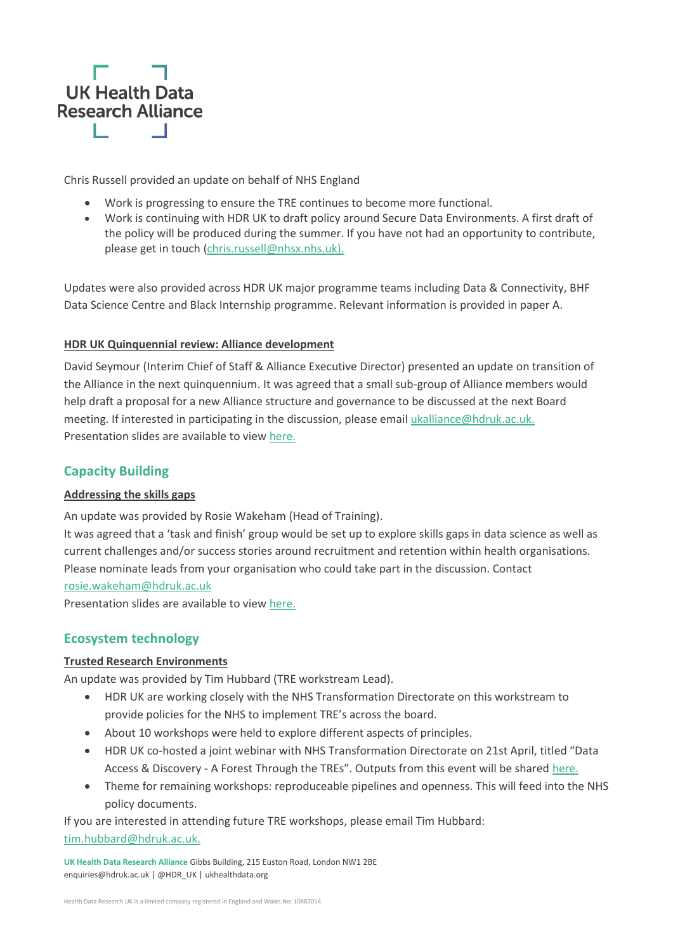

Chris Russell provided an update on behalf of NHS England

- Work is progressing to ensure the TRE continues to become more functional.
- Work is continuing with HDR UK to draft policy around Secure Data Environments. A first draft of the policy will be produced during the summer. If you have not had an opportunity to contribute, please get in touch [\(chris.russell@nhsx.nhs.uk\).](mailto:chris.russell@nhsx.nhs.uk)

Updates were also provided across HDR UK major programme teams including Data & Connectivity, BHF Data Science Centre and Black Internship programme. Relevant information is provided in paper A.

#### **HDR UK Quinquennial review: Alliance development**

David Seymour (Interim Chief of Staff & Alliance Executive Director) presented an update on transition of the Alliance in the next quinquennium. It was agreed that a small sub-group of Alliance members would help draft a proposal for a new Alliance structure and governance to be discussed at the next Board meeting. If interested in participating in the discussion, please email [ukalliance@hdruk.ac.uk.](mailto:ukalliance@hdruk.ac.uk) Presentation slides are available to view [here.](https://ukhealthdata.org/wp-content/uploads/2022/04/David-QQR-discussion-Alliance-Board.pdf)

#### **Capacity Building**

#### **Addressing the skills gaps**

An update was provided by Rosie Wakeham (Head of Training).

It was agreed that a 'task and finish' group would be set up to explore skills gaps in data science as well as current challenges and/or success stories around recruitment and retention within health organisations. Please nominate leads from your organisation who could take part in the discussion. Contact

#### [rosie.wakeham@hdruk.ac.uk](mailto:rosie.wakeham@hdruk.ac.uk)

Presentation slides are available to view [here.](https://ukhealthdata.org/wp-content/uploads/2022/04/Rosie-Talent-and-training-presentation-for-Alliance-board-meeting-12-April-22.pdf)

# **Ecosystem technology**

#### **Trusted Research Environments**

An update was provided by Tim Hubbard (TRE workstream Lead).

- HDR UK are working closely with the NHS Transformation Directorate on this workstream to provide policies for the NHS to implement TRE's across the board.
- About 10 workshops were held to explore different aspects of principles.
- HDR UK co-hosted a joint webinar with NHS Transformation Directorate on 21st April, titled "Data Access & Discovery - A Forest Through the TREs". Outputs from this event will be shared [here.](https://www.hdruk.ac.uk/access-to-health-data/trusted-research-environments/)
- Theme for remaining workshops: reproduceable pipelines and openness. This will feed into the NHS policy documents.

If you are interested in attending future TRE workshops, please email Tim Hubbard: [tim.hubbard@hdruk.ac.uk.](mailto:tim.hubbard@hdruk.ac.uk)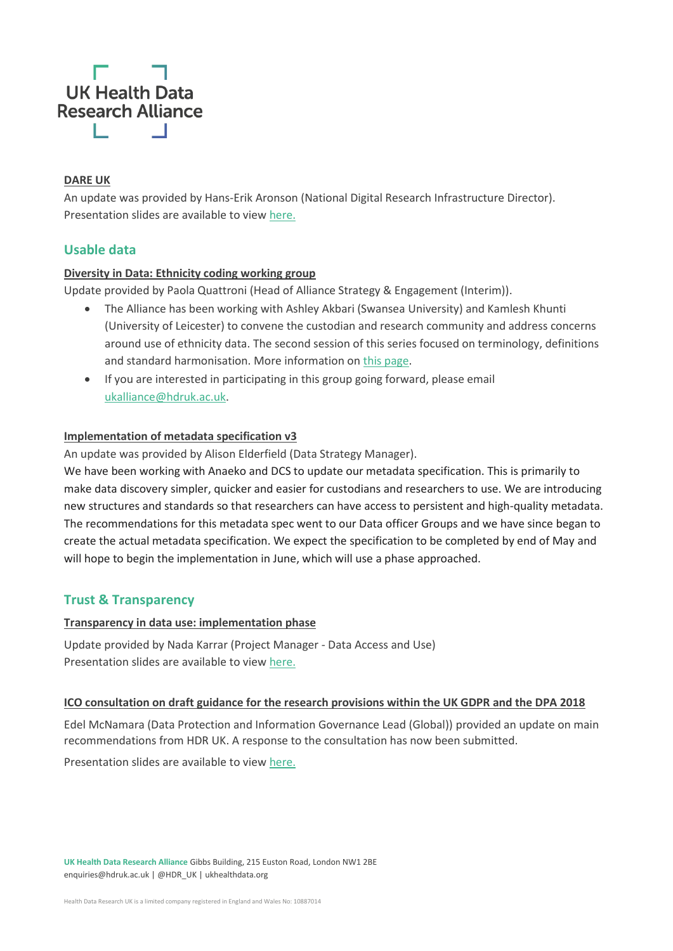# **UK Health Data Research Alliance**

#### **DARE UK**

An update was provided by Hans-Erik Aronson [\(National Digital Research Infrastructure Director\).](https://www.hdruk.ac.uk/people/hans-erik-g-aronson/) Presentation slides are available to view [here.](https://ukhealthdata.org/wp-content/uploads/2022/04/Hans-Erik-220412_DARE-UK_Alliance-Board.pdf)

# **Usable data**

#### **Diversity in Data: Ethnicity coding working group**

Update provided by Paola Quattroni (Head of Alliance Strategy & Engagement (Interim)).

- The Alliance has been working with Ashley Akbari (Swansea University) and Kamlesh Khunti (University of Leicester) to convene the custodian and research community and address concerns around use of ethnicity data. The second session of this series focused on terminology, definitions and standard harmonisation. More information on [this page.](https://ukhealthdata.org/projects/diversity-in-data/)
- If you are interested in participating in this group going forward, please email [ukalliance@hdruk.ac.uk.](mailto:ukalliance@hdruk.ac.uk)

#### **Implementation of metadata specification v3**

An update was provided by Alison Elderfield [\(Data Strategy Manager\).](https://www.hdruk.ac.uk/people/alison-elderfield/)

We have been working with Anaeko and DCS to update our metadata specification. This is primarily to make data discovery simpler, quicker and easier for custodians and researchers to use. We are introducing new structures and standards so that researchers can have access to persistent and high-quality metadata. The recommendations for this metadata spec went to our Data officer Groups and we have since began to create the actual metadata specification. We expect the specification to be completed by end of May and will hope to begin the implementation in June, which will use a phase approached.

#### **Trust & Transparency**

#### **Transparency in data use: implementation phase**

Update provided by Nada Karrar (Project Manager - [Data Access and Use\)](https://www.hdruk.ac.uk/people/nada-karrar/) Presentation slides are available to view [here.](https://ukhealthdata.org/wp-content/uploads/2022/04/Nada-DUR-Alliance-Board-11.04.22.pdf)

#### **ICO consultation on draft guidance for the research provisions within the UK GDPR and the DPA 2018**

Edel McNamara (Data Protection and Information Governance Lead (Global)) provided an update on main recommendations from HDR UK. A response to the consultation has now been submitted.

Presentation slides are available to view [here.](https://ukhealthdata.org/wp-content/uploads/2022/04/Edel-and-Cassie-Slides-re-ICO-research-guidance-consultation-for-Alliance-Board.pdf)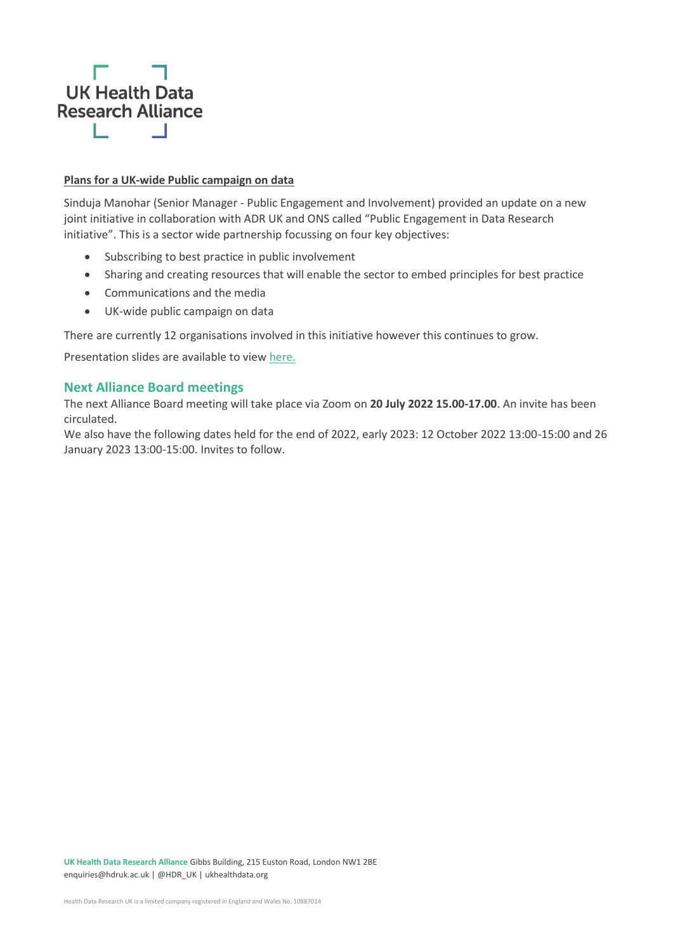

#### **Plans for a UK-wide Public campaign on data**

Sinduja Manohar (Senior Manager - [Public Engagement and Involvement\)](https://www.hdruk.ac.uk/people/sinduja-manohar/) provided an update on a new joint initiative in collaboration with ADR UK and ONS called "Public Engagement in Data Research initiative". This is a sector wide partnership focussing on four key objectives:

- Subscribing to best practice in public involvement
- Sharing and creating resources that will enable the sector to embed principles for best practice
- Communications and the media
- UK-wide public campaign on data

There are currently 12 organisations involved in this initiative however this continues to grow.

Presentation slides are available to view [here.](https://ukhealthdata.org/wp-content/uploads/2022/04/Sinduja-Public-Engagement-in-Data-Research-Inititative.pdf)

#### **Next Alliance Board meetings**

The next Alliance Board meeting will take place via Zoom on **20 July 2022 15.00-17.00**. An invite has been circulated.

We also have the following dates held for the end of 2022, early 2023: 12 October 2022 13:00-15:00 and 26 January 2023 13:00-15:00. Invites to follow.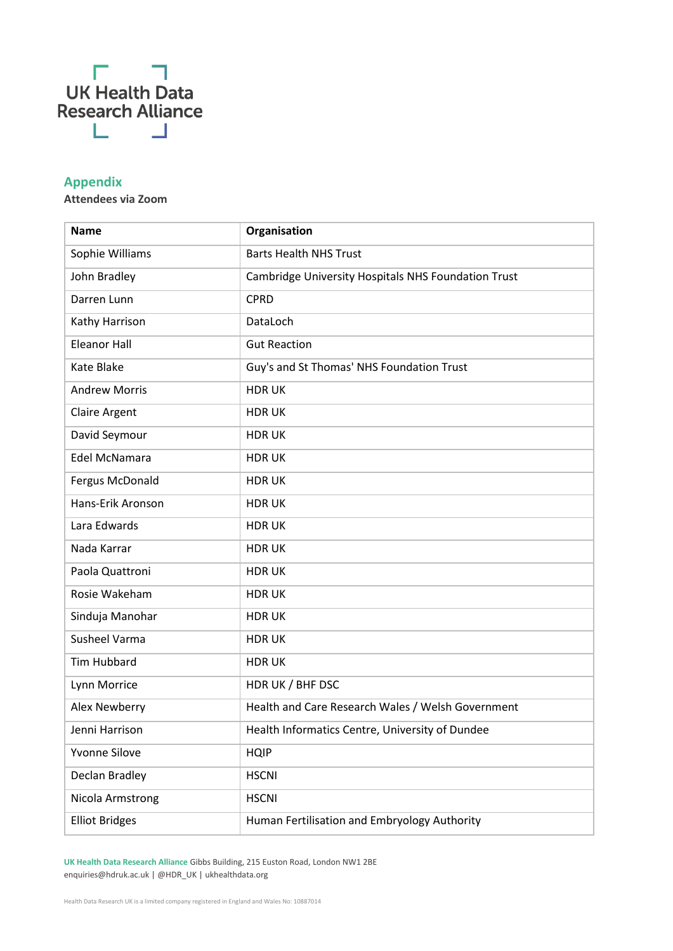

# **Appendix**

**Attendees via Zoom**

| <b>Name</b>           | Organisation                                        |
|-----------------------|-----------------------------------------------------|
| Sophie Williams       | <b>Barts Health NHS Trust</b>                       |
| John Bradley          | Cambridge University Hospitals NHS Foundation Trust |
| Darren Lunn           | <b>CPRD</b>                                         |
| Kathy Harrison        | DataLoch                                            |
| <b>Eleanor Hall</b>   | <b>Gut Reaction</b>                                 |
| Kate Blake            | Guy's and St Thomas' NHS Foundation Trust           |
| <b>Andrew Morris</b>  | <b>HDRUK</b>                                        |
| <b>Claire Argent</b>  | <b>HDRUK</b>                                        |
| David Seymour         | <b>HDRUK</b>                                        |
| Edel McNamara         | <b>HDRUK</b>                                        |
| Fergus McDonald       | <b>HDRUK</b>                                        |
| Hans-Erik Aronson     | <b>HDRUK</b>                                        |
| Lara Edwards          | <b>HDRUK</b>                                        |
| Nada Karrar           | <b>HDRUK</b>                                        |
| Paola Quattroni       | <b>HDRUK</b>                                        |
| Rosie Wakeham         | <b>HDRUK</b>                                        |
| Sinduja Manohar       | <b>HDRUK</b>                                        |
| Susheel Varma         | <b>HDRUK</b>                                        |
| <b>Tim Hubbard</b>    | <b>HDRUK</b>                                        |
| Lynn Morrice          | HDR UK / BHF DSC                                    |
| Alex Newberry         | Health and Care Research Wales / Welsh Government   |
| Jenni Harrison        | Health Informatics Centre, University of Dundee     |
| Yvonne Silove         | <b>HQIP</b>                                         |
| Declan Bradley        | <b>HSCNI</b>                                        |
| Nicola Armstrong      | <b>HSCNI</b>                                        |
| <b>Elliot Bridges</b> | Human Fertilisation and Embryology Authority        |